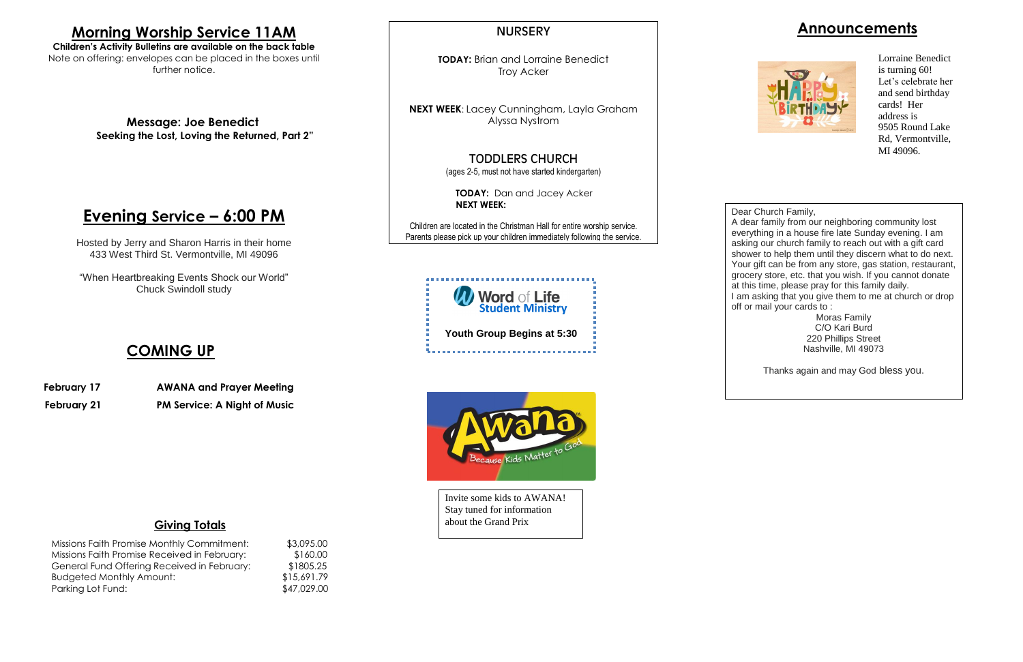## **Announcements**



#### **Giving Totals**

| Missions Faith Promise Monthly Commitment:   | \$3,095.00  |
|----------------------------------------------|-------------|
| Missions Faith Promise Received in February: | \$160.00    |
| General Fund Offering Received in February:  | \$1805.25   |
| <b>Budgeted Monthly Amount:</b>              | \$15,691.79 |
| Parking Lot Fund:                            | \$47,029.00 |

**TODAY:** Brian and Lorraine Benedict Troy Acker

#### NURSERY

**NEXT WEEK**: Lacey Cunningham, Layla Graham Alyssa Nystrom

### TODDLERS CHURCH

(ages 2-5, must not have started kindergarten)

**TODAY:** Dan and Jacey Acker **NEXT WEEK:**

Children are located in the Christman Hall for entire worship service. Parents please pick up your children immediately following the service.

# **Word of Life**<br>Student Ministry **Youth Group Begins at 5:30**



# **Morning Worship Service 11AM**

**Children's Activity Bulletins are available on the back table** Note on offering: envelopes can be placed in the boxes until further notice.

> **Message: Joe Benedict Seeking the Lost, Loving the Returned, Part 2"**

# **Evening Service – 6:00 PM**

Hosted by Jerry and Sharon Harris in their home 433 West Third St. Vermontville, MI 49096

"When Heartbreaking Events Shock our World" Chuck Swindoll study

## **COMING UP**

 **February 17 AWANA and Prayer Meeting**

 **February 21 PM Service: A Night of Music**

Dear Church Family, A dear family from our neighboring community lost everything in a house fire late Sunday evening. I am asking our church family to reach out with a gift card shower to help them until they discern what to do next. Your gift can be from any store, gas station, restaurant, grocery store, etc. that you wish. If you cannot donate at this time, please pray for this family daily. I am asking that you give them to me at church or drop off or mail your cards to :

Moras Family C/O Kari Burd 220 Phillips Street Nashville, MI 49073

Thanks again and may God bless you.

Lorraine Benedict is turning 60! Let's celebrate her and send birthday cards! Her address is 9505 Round Lake Rd, Vermontville, MI 49096.

Invite some kids to AWANA! Stay tuned for information about the Grand Prix